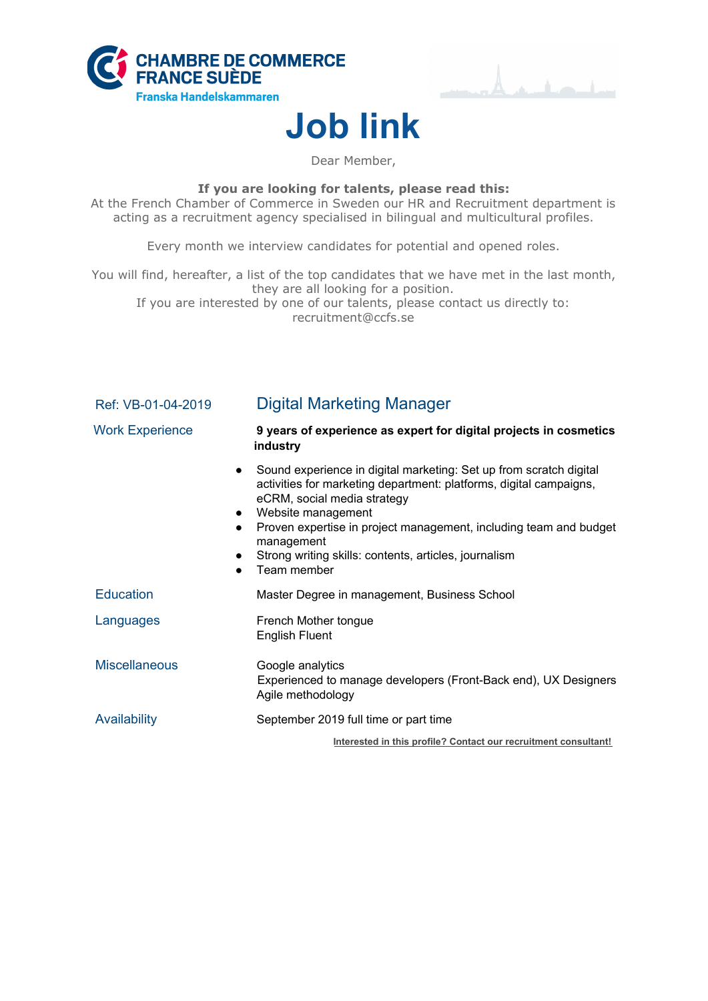



## **Job link**

Dear Member,

**If you are looking for talents, please read this:**

At the French Chamber of Commerce in Sweden our HR and Recruitment department is acting as a recruitment agency specialised in bilingual and multicultural profiles.

Every month we interview candidates for potential and opened roles.

You will find, hereafter, a list of the top candidates that we have met in the last month, they are all looking for a position.

If you are interested by one of our talents, please contact us directly to: recruitment@ccfs.se

| Ref: VB-01-04-2019                  | <b>Digital Marketing Manager</b>                                                                                                                                                                                                                                                                                                                         |
|-------------------------------------|----------------------------------------------------------------------------------------------------------------------------------------------------------------------------------------------------------------------------------------------------------------------------------------------------------------------------------------------------------|
| <b>Work Experience</b>              | 9 years of experience as expert for digital projects in cosmetics<br>industry                                                                                                                                                                                                                                                                            |
| $\bullet$<br>$\bullet$<br>$\bullet$ | Sound experience in digital marketing: Set up from scratch digital<br>activities for marketing department: platforms, digital campaigns,<br>eCRM, social media strategy<br>Website management<br>Proven expertise in project management, including team and budget<br>management<br>Strong writing skills: contents, articles, journalism<br>Team member |
| <b>Education</b>                    | Master Degree in management, Business School                                                                                                                                                                                                                                                                                                             |
| Languages                           | French Mother tongue<br><b>English Fluent</b>                                                                                                                                                                                                                                                                                                            |
| <b>Miscellaneous</b>                | Google analytics<br>Experienced to manage developers (Front-Back end), UX Designers<br>Agile methodology                                                                                                                                                                                                                                                 |
| Availability                        | September 2019 full time or part time                                                                                                                                                                                                                                                                                                                    |
|                                     | Interested in this profile? Contact our recruitment consultant!                                                                                                                                                                                                                                                                                          |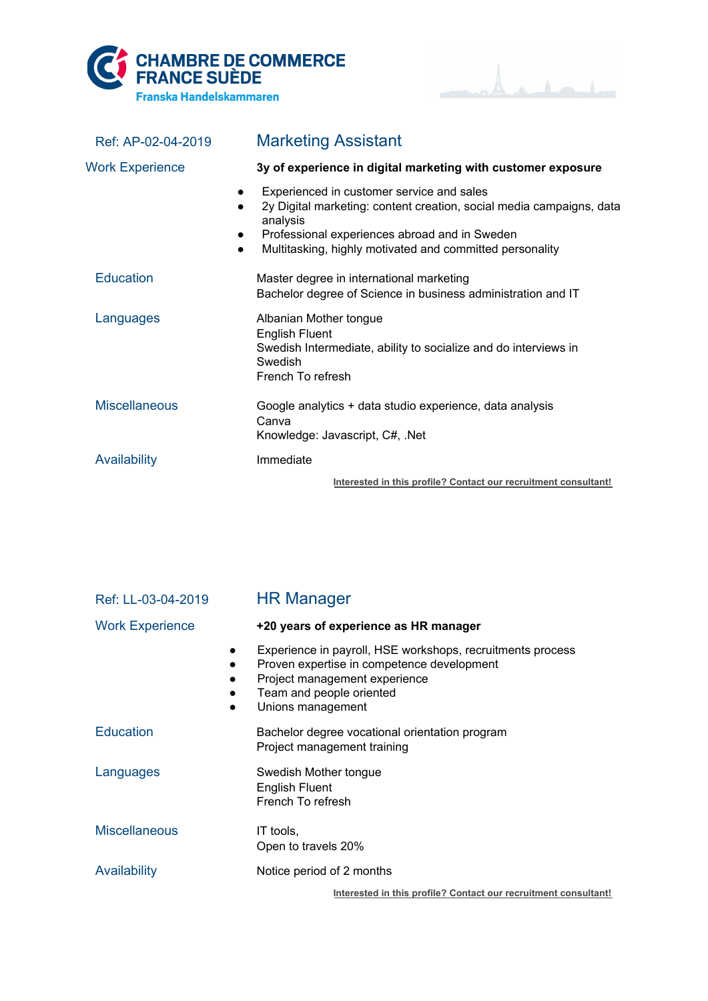



| Ref: AP-02-04-2019     | <b>Marketing Assistant</b>                                                                                                                                                                                                                                                                     |
|------------------------|------------------------------------------------------------------------------------------------------------------------------------------------------------------------------------------------------------------------------------------------------------------------------------------------|
| <b>Work Experience</b> | 3y of experience in digital marketing with customer exposure                                                                                                                                                                                                                                   |
|                        | Experienced in customer service and sales<br>$\bullet$<br>2y Digital marketing: content creation, social media campaigns, data<br>$\bullet$<br>analysis<br>Professional experiences abroad and in Sweden<br>$\bullet$<br>Multitasking, highly motivated and committed personality<br>$\bullet$ |
| <b>Education</b>       | Master degree in international marketing<br>Bachelor degree of Science in business administration and IT                                                                                                                                                                                       |
| Languages              | Albanian Mother tongue<br><b>English Fluent</b><br>Swedish Intermediate, ability to socialize and do interviews in<br>Swedish<br>French To refresh                                                                                                                                             |
| <b>Miscellaneous</b>   | Google analytics + data studio experience, data analysis<br>Canva<br>Knowledge: Javascript, C#, .Net                                                                                                                                                                                           |
| Availability           | Immediate                                                                                                                                                                                                                                                                                      |
|                        | Interested in this profile? Contact our recruitment consultant!                                                                                                                                                                                                                                |

| Ref: LL-03-04-2019     | <b>HR Manager</b>                                                                                                                                                                          |
|------------------------|--------------------------------------------------------------------------------------------------------------------------------------------------------------------------------------------|
| <b>Work Experience</b> | +20 years of experience as HR manager                                                                                                                                                      |
| $\bullet$              | Experience in payroll, HSE workshops, recruitments process<br>Proven expertise in competence development<br>Project management experience<br>Team and people oriented<br>Unions management |
| <b>Education</b>       | Bachelor degree vocational orientation program<br>Project management training                                                                                                              |
| Languages              | Swedish Mother tongue<br><b>English Fluent</b><br>French To refresh                                                                                                                        |
| <b>Miscellaneous</b>   | IT tools.<br>Open to travels 20%                                                                                                                                                           |
| Availability           | Notice period of 2 months                                                                                                                                                                  |
|                        | Interested in this profile? Contact our recruitment consultant!                                                                                                                            |